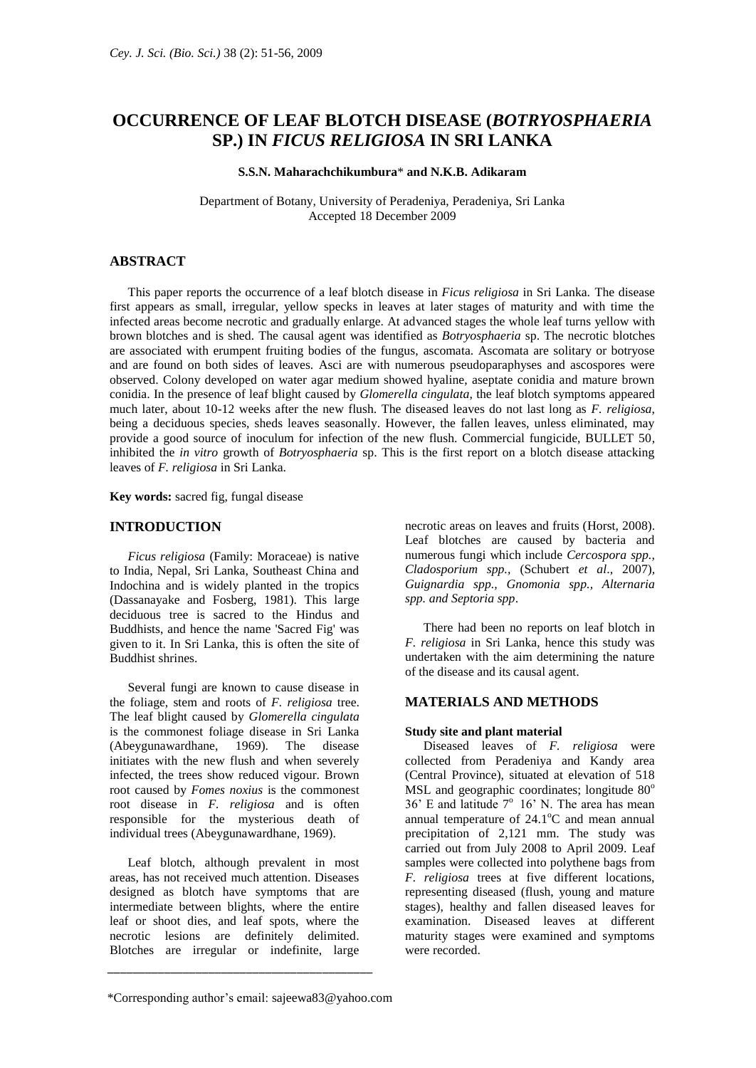# **OCCURRENCE OF LEAF BLOTCH DISEASE (***BOTRYOSPHAERIA* **SP.) IN** *FICUS RELIGIOSA* **IN SRI LANKA**

### **S.S.N. Maharachchikumbura**\* **and N.K.B. Adikaram**

Department of Botany, University of Peradeniya, Peradeniya, Sri Lanka Accepted 18 December 2009

## **ABSTRACT**

This paper reports the occurrence of a leaf blotch disease in *Ficus religiosa* in Sri Lanka. The disease first appears as small, irregular, yellow specks in leaves at later stages of maturity and with time the infected areas become necrotic and gradually enlarge. At advanced stages the whole leaf turns yellow with brown blotches and is shed. The causal agent was identified as *Botryosphaeria* sp. The necrotic blotches are associated with erumpent fruiting bodies of the fungus, ascomata. Ascomata are solitary or botryose and are found on both sides of leaves. Asci are with numerous pseudoparaphyses and ascospores were observed. Colony developed on water agar medium showed hyaline, aseptate conidia and mature brown conidia. In the presence of leaf blight caused by *Glomerella cingulata*, the leaf blotch symptoms appeared much later, about 10-12 weeks after the new flush. The diseased leaves do not last long as *F. religiosa*, being a deciduous species, sheds leaves seasonally. However, the fallen leaves, unless eliminated, may provide a good source of inoculum for infection of the new flush. Commercial fungicide, BULLET 50, inhibited the *in vitro* growth of *Botryosphaeria* sp. This is the first report on a blotch disease attacking leaves of *F. religiosa* in Sri Lanka.

**Key words:** sacred fig, fungal disease

#### **INTRODUCTION**

*Ficus religiosa* (Family: Moraceae) is native to India, Nepal, Sri Lanka, Southeast China and Indochina and is widely planted in the tropics (Dassanayake and Fosberg, 1981). This large deciduous tree is sacred to the [Hindus](http://en.wikipedia.org/wiki/Hinduism) and [Buddhists,](http://en.wikipedia.org/wiki/Buddhism) and hence the name 'Sacred Fig' was given to it. In Sri Lanka, this is often the site of Buddhist shrines.

Several fungi are known to cause disease in the foliage, stem and roots of *F. religiosa* tree. The leaf blight caused by *Glomerella cingulata* is the commonest foliage disease in Sri Lanka (Abeygunawardhane, 1969). The disease initiates with the new flush and when severely infected, the trees show reduced vigour. Brown root caused by *Fomes noxius* is the commonest root disease in *F. religiosa* and is often responsible for the mysterious death of individual trees (Abeygunawardhane, 1969).

Leaf blotch, although prevalent in most areas, has not received much attention. Diseases designed as blotch have symptoms that are intermediate between blights, where the entire leaf or shoot dies, and leaf spots, where the necrotic lesions are definitely delimited. Blotches are irregular or indefinite, large

\_\_\_\_\_\_\_\_\_\_\_\_\_\_\_\_\_\_\_\_\_\_\_\_\_\_\_\_\_\_\_\_\_\_\_\_\_\_\_\_\_\_

necrotic areas on leaves and fruits (Horst, 2008). Leaf blotches are caused by bacteria and numerous fungi which include *Cercospora spp., Cladosporium spp.,* (Schubert *et al*., 2007)*, Guignardia spp., Gnomonia spp., Alternaria spp. and Septoria spp*.

There had been no reports on leaf blotch in *F. religiosa* in Sri Lanka, hence this study was undertaken with the aim determining the nature of the disease and its causal agent.

## **MATERIALS AND METHODS**

#### **Study site and plant material**

Diseased leaves of *F. religiosa* were collected from Peradeniya and Kandy area (Central Province), situated at elevation of 518 MSL and geographic coordinates; longitude 80°  $36'$  E and latitude  $7^{\circ}$  16' N. The area has mean annual temperature of  $24.1^{\circ}$ C and mean annual precipitation of 2,121 mm. The study was carried out from July 2008 to April 2009. Leaf samples were collected into polythene bags from *F. religiosa* trees at five different locations, representing diseased (flush, young and mature stages), healthy and fallen diseased leaves for examination. Diseased leaves at different maturity stages were examined and symptoms were recorded.

<sup>\*</sup>Corresponding author's email: sajeewa83@yahoo.com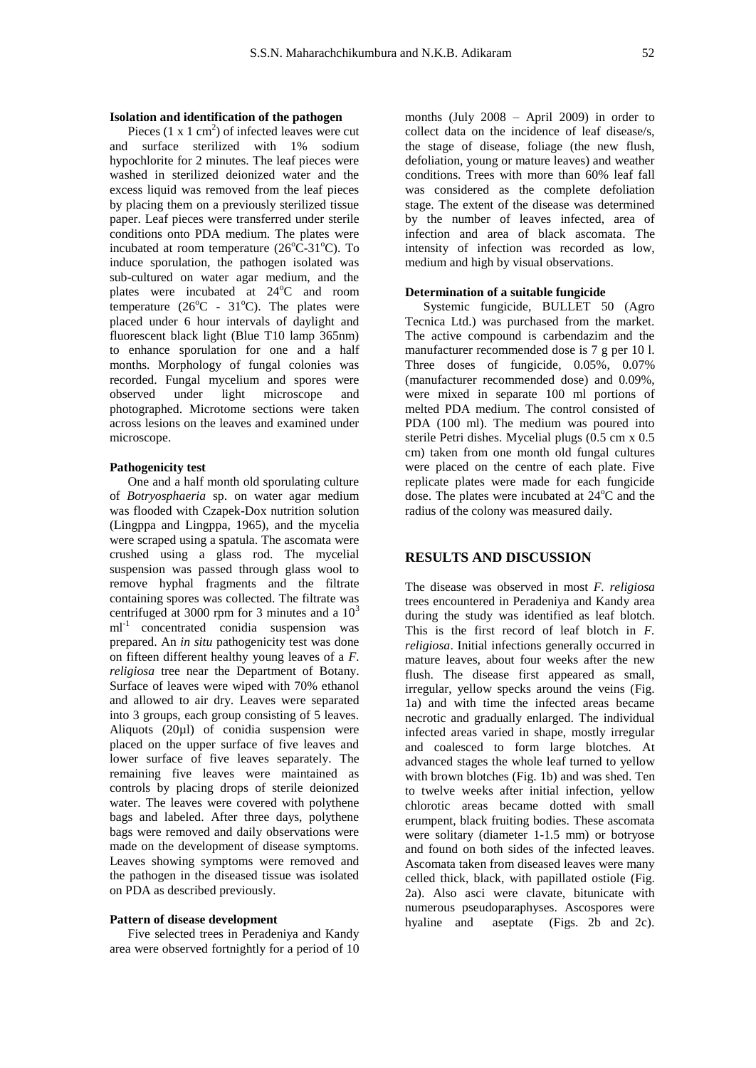## **Isolation and identification of the pathogen**

Pieces  $(1 \times 1 \text{ cm}^2)$  of infected leaves were cut and surface sterilized with 1% sodium hypochlorite for 2 minutes. The leaf pieces were washed in sterilized deionized water and the excess liquid was removed from the leaf pieces by placing them on a previously sterilized tissue paper. Leaf pieces were transferred under sterile conditions onto PDA medium. The plates were incubated at room temperature  $(26^{\circ}C-31^{\circ}C)$ . To induce sporulation, the pathogen isolated was sub-cultured on water agar medium, and the plates were incubated at  $24^{\circ}$ C and room temperature ( $26^{\circ}$ C -  $31^{\circ}$ C). The plates were placed under 6 hour intervals of daylight and fluorescent black light (Blue T10 lamp 365nm) to enhance sporulation for one and a half months. Morphology of fungal colonies was recorded. Fungal mycelium and spores were observed under light microscope and photographed. Microtome sections were taken across lesions on the leaves and examined under microscope.

### **Pathogenicity test**

One and a half month old sporulating culture of *Botryosphaeria* sp. on water agar medium was flooded with Czapek-Dox nutrition solution (Lingppa and Lingppa, 1965), and the mycelia were scraped using a spatula. The ascomata were crushed using a glass rod. The mycelial suspension was passed through glass wool to remove hyphal fragments and the filtrate containing spores was collected. The filtrate was centrifuged at 3000 rpm for 3 minutes and a  $10<sup>3</sup>$ ml<sup>-1</sup> concentrated conidia suspension was prepared. An *in situ* pathogenicity test was done on fifteen different healthy young leaves of a *F. religiosa* tree near the Department of Botany. Surface of leaves were wiped with 70% ethanol and allowed to air dry. Leaves were separated into 3 groups, each group consisting of 5 leaves. Aliquots (20µl) of conidia suspension were placed on the upper surface of five leaves and lower surface of five leaves separately. The remaining five leaves were maintained as controls by placing drops of sterile deionized water. The leaves were covered with polythene bags and labeled. After three days, polythene bags were removed and daily observations were made on the development of disease symptoms. Leaves showing symptoms were removed and the pathogen in the diseased tissue was isolated on PDA as described previously.

#### **Pattern of disease development**

Five selected trees in Peradeniya and Kandy area were observed fortnightly for a period of 10 months (July 2008 – April 2009) in order to collect data on the incidence of leaf disease/s, the stage of disease, foliage (the new flush, defoliation, young or mature leaves) and weather conditions. Trees with more than 60% leaf fall was considered as the complete defoliation stage. The extent of the disease was determined by the number of leaves infected, area of infection and area of black ascomata. The intensity of infection was recorded as low, medium and high by visual observations.

#### **Determination of a suitable fungicide**

Systemic fungicide, BULLET 50 (Agro Tecnica Ltd.) was purchased from the market. The active compound is carbendazim and the manufacturer recommended dose is 7 g per 10 l. Three doses of fungicide, 0.05%, 0.07% (manufacturer recommended dose) and 0.09%, were mixed in separate 100 ml portions of melted PDA medium. The control consisted of PDA (100 ml). The medium was poured into sterile Petri dishes. Mycelial plugs (0.5 cm x 0.5 cm) taken from one month old fungal cultures were placed on the centre of each plate. Five replicate plates were made for each fungicide dose. The plates were incubated at 24<sup>o</sup>C and the radius of the colony was measured daily.

## **RESULTS AND DISCUSSION**

The disease was observed in most *F. religiosa* trees encountered in Peradeniya and Kandy area during the study was identified as leaf blotch. This is the first record of leaf blotch in *F. religiosa*. Initial infections generally occurred in mature leaves, about four weeks after the new flush. The disease first appeared as small, irregular, yellow specks around the veins (Fig. 1a) and with time the infected areas became necrotic and gradually enlarged. The individual infected areas varied in shape, mostly irregular and coalesced to form large blotches. At advanced stages the whole leaf turned to yellow with brown blotches (Fig. 1b) and was shed. Ten to twelve weeks after initial infection, yellow chlorotic areas became dotted with small erumpent, black fruiting bodies. These ascomata were solitary (diameter 1-1.5 mm) or botryose and found on both sides of the infected leaves. Ascomata taken from diseased leaves were many celled thick, black, with papillated ostiole (Fig. 2a). Also asci were clavate, bitunicate with numerous pseudoparaphyses. Ascospores were hyaline and aseptate (Figs. 2b and 2c).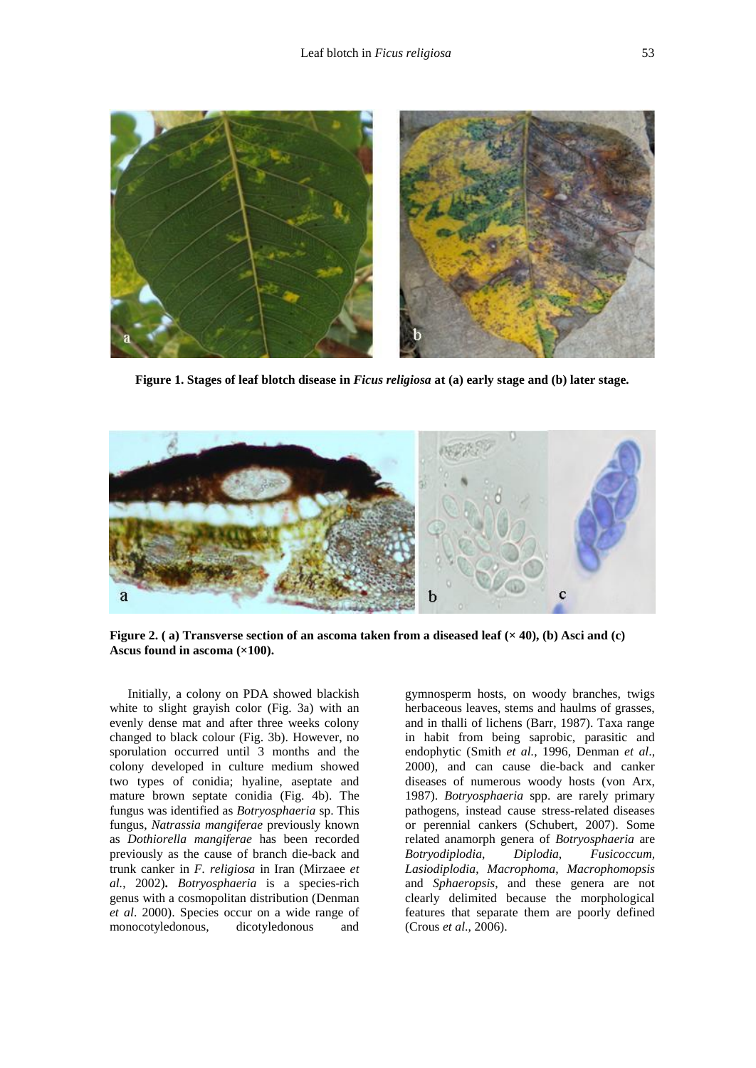

**Figure 1. Stages of leaf blotch disease in** *Ficus religiosa* **at (a) early stage and (b) later stage***.*



**Figure 2. ( a) Transverse section of an ascoma taken from a diseased leaf (× 40), (b) Asci and (c) Ascus found in ascoma (×100).**

Initially, a colony on PDA showed blackish white to slight grayish color (Fig. 3a) with an evenly dense mat and after three weeks colony changed to black colour (Fig. 3b). However, no sporulation occurred until 3 months and the colony developed in culture medium showed two types of conidia; hyaline, aseptate and mature brown septate conidia (Fig. 4b). The fungus was identified as *Botryosphaeria* sp. This fungus, *Natrassia mangiferae* previously known as *Dothiorella mangiferae* has been recorded previously as the cause of branch die-back and trunk canker in *F. religiosa* in Iran (Mirzaee *et al.*, 2002)**.** *Botryosphaeria* is a species-rich genus with a cosmopolitan distribution [\(Denman](http://www.ncbi.nlm.nih.gov/pmc/articles/PMC2104729/#ref19#ref19)  *et al*[. 2000\)](http://www.ncbi.nlm.nih.gov/pmc/articles/PMC2104729/#ref19#ref19). Species occur on a wide range of monocotyledonous, dicotyledonous and

gymnosperm hosts, on woody branches, twigs herbaceous leaves, stems and haulms of grasses, and in thalli of lichens [\(Barr,](http://www.ncbi.nlm.nih.gov/pmc/articles/PMC2104729/#ref11#ref11) 1987). Taxa range in habit from being saprobic, parasitic and endophytic [\(Smith](http://www.ncbi.nlm.nih.gov/pmc/articles/PMC2104729/#ref66#ref66) *et al.*, 1996, [Denman](http://www.ncbi.nlm.nih.gov/pmc/articles/PMC2104729/#ref19#ref19) *et al*., [2000\)](http://www.ncbi.nlm.nih.gov/pmc/articles/PMC2104729/#ref19#ref19), and can cause die-back and canker diseases of numerous woody hosts [\(von Arx,](http://www.ncbi.nlm.nih.gov/pmc/articles/PMC2104729/#ref6#ref6) [1987\)](http://www.ncbi.nlm.nih.gov/pmc/articles/PMC2104729/#ref6#ref6). *Botryosphaeria* spp. are rarely primary pathogens, instead cause stress-related diseases or perennial cankers (Schubert, 2007). Some related anamorph genera of *Botryosphaeria* are *Botryodiplodia*, *Diplodia*, *Fusicoccum, Lasiodiplodia*, *Macrophoma*, *Macrophomopsis* and *Sphaeropsis*, and these genera are not clearly delimited because the morphological features that separate them are poorly defined (Crous *et al*., 2006).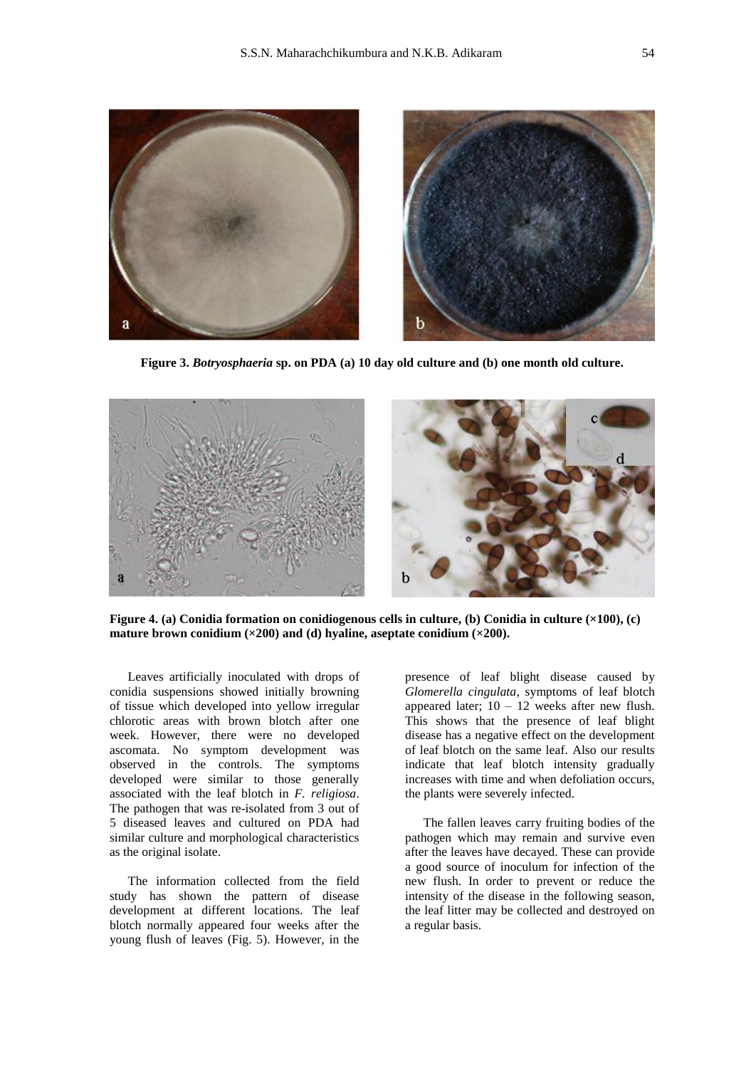

**Figure 3.** *Botryosphaeria* **sp. on PDA (a) 10 day old culture and (b) one month old culture.**



**Figure 4. (a) Conidia formation on conidiogenous cells in culture, (b) Conidia in culture (×100), (c) mature brown conidium (×200) and (d) hyaline, aseptate conidium (×200).**

Leaves artificially inoculated with drops of conidia suspensions showed initially browning of tissue which developed into yellow irregular chlorotic areas with brown blotch after one week. However, there were no developed ascomata. No symptom development was observed in the controls. The symptoms developed were similar to those generally associated with the leaf blotch in *F. religiosa*. The pathogen that was re-isolated from 3 out of 5 diseased leaves and cultured on PDA had similar culture and morphological characteristics as the original isolate.

The information collected from the field study has shown the pattern of disease development at different locations. The leaf blotch normally appeared four weeks after the young flush of leaves (Fig. 5). However, in the

presence of leaf blight disease caused by *Glomerella cingulata*, symptoms of leaf blotch appeared later;  $10 - 12$  weeks after new flush. This shows that the presence of leaf blight disease has a negative effect on the development of leaf blotch on the same leaf. Also our results indicate that leaf blotch intensity gradually increases with time and when defoliation occurs, the plants were severely infected.

The fallen leaves carry fruiting bodies of the pathogen which may remain and survive even after the leaves have decayed. These can provide a good source of inoculum for infection of the new flush. In order to prevent or reduce the intensity of the disease in the following season, the leaf litter may be collected and destroyed on a regular basis.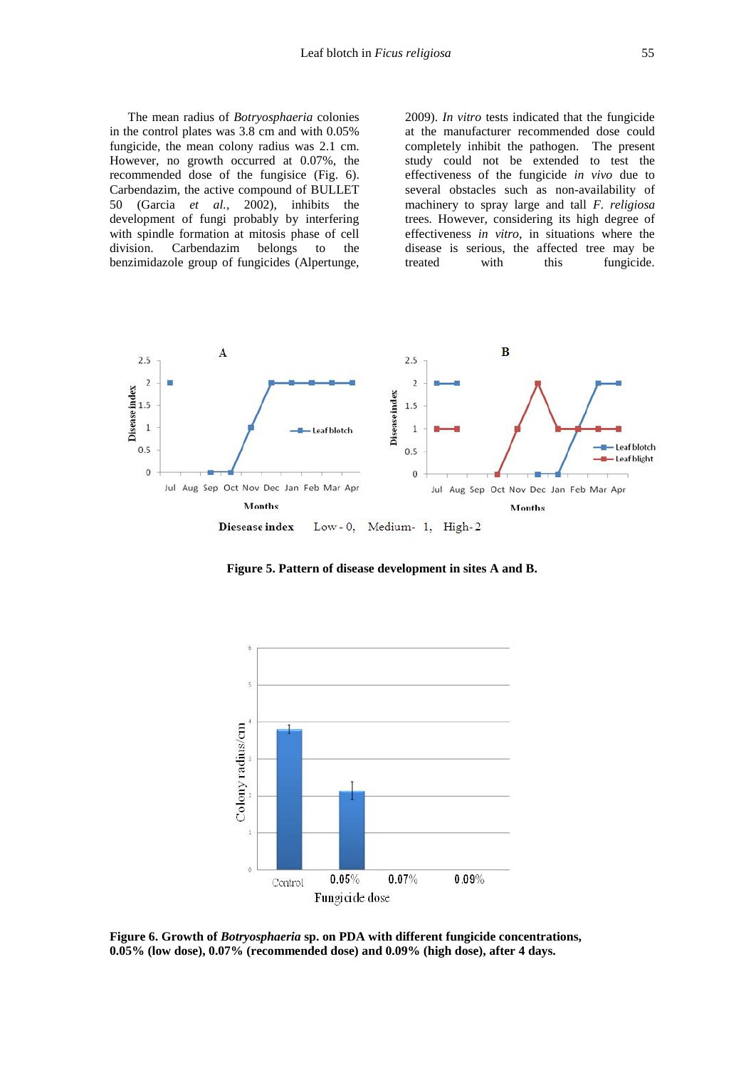The mean radius of *Botryosphaeria* colonies in the control plates was 3.8 cm and with 0.05% fungicide, the mean colony radius was 2.1 cm. However, no growth occurred at 0.07%, the recommended dose of the fungisice (Fig. 6). Carbendazim, the active compound of BULLET 50 (Garcia *et al.,* 2002), inhibits the development of fungi probably by interfering with spindle formation at mitosis phase of cell division. Carbendazim belongs to the benzimidazole group of fungicides (Alpertunge,

2009). *In vitro* tests indicated that the fungicide at the manufacturer recommended dose could completely inhibit the pathogen. The present study could not be extended to test the effectiveness of the fungicide *in vivo* due to several obstacles such as non-availability of machinery to spray large and tall *F. religiosa* trees*.* However, considering its high degree of effectiveness *in vitro*, in situations where the disease is serious, the affected tree may be treated with this fungicide.



**Figure 5. Pattern of disease development in sites A and B.**



**Figure 6. Growth of** *Botryosphaeria* **sp. on PDA with different fungicide concentrations, 0.05% (low dose), 0.07% (recommended dose) and 0.09% (high dose), after 4 days.**